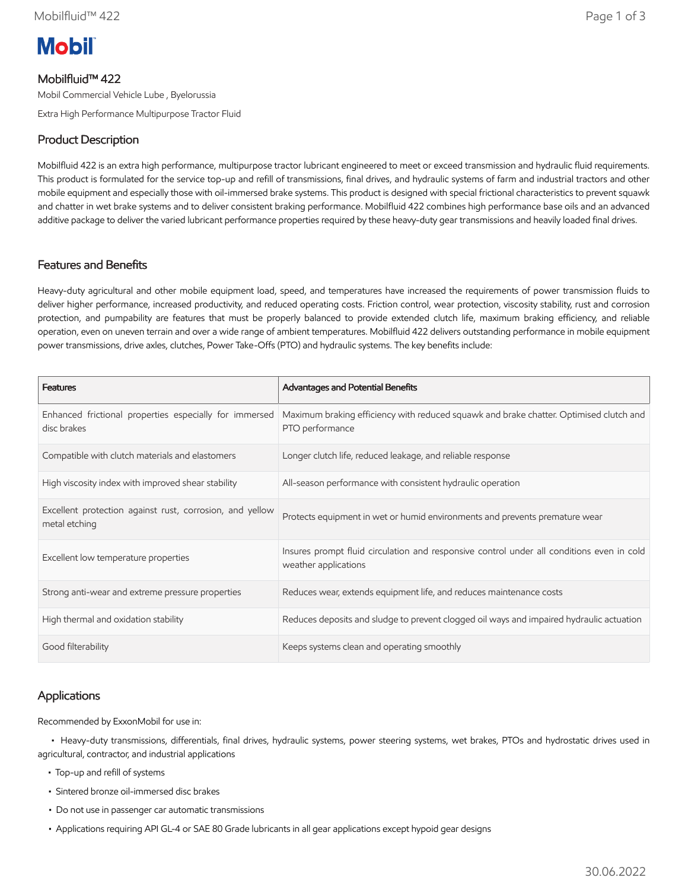

## Mobilfluid™ 422

Mobil Commercial Vehicle Lube , Byelorussia

Extra High Performance Multipurpose Tractor Fluid

## Product Description

Mobilfluid 422 is an extra high performance, multipurpose tractor lubricant engineered to meet or exceed transmission and hydraulic fluid requirements. This product is formulated for the service top-up and refill of transmissions, final drives, and hydraulic systems of farm and industrial tractors and other mobile equipment and especially those with oil-immersed brake systems. This product is designed with special frictional characteristics to prevent squawk and chatter in wet brake systems and to deliver consistent braking performance. Mobilfluid 422 combines high performance base oils and an advanced additive package to deliver the varied lubricant performance properties required by these heavy-duty gear transmissions and heavily loaded final drives.

#### Features and Benefits

Heavy-duty agricultural and other mobile equipment load, speed, and temperatures have increased the requirements of power transmission fluids to deliver higher performance, increased productivity, and reduced operating costs. Friction control, wear protection, viscosity stability, rust and corrosion protection, and pumpability are features that must be properly balanced to provide extended clutch life, maximum braking efficiency, and reliable operation, even on uneven terrain and over a wide range of ambient temperatures. Mobilfluid 422 delivers outstanding performance in mobile equipment power transmissions, drive axles, clutches, Power Take-Offs (PTO) and hydraulic systems. The key benefits include:

| <b>Features</b>                                                           | Advantages and Potential Benefits                                                                                 |
|---------------------------------------------------------------------------|-------------------------------------------------------------------------------------------------------------------|
| Enhanced frictional properties especially for immersed<br>disc brakes     | Maximum braking efficiency with reduced squawk and brake chatter. Optimised clutch and<br>PTO performance         |
| Compatible with clutch materials and elastomers                           | Longer clutch life, reduced leakage, and reliable response                                                        |
| High viscosity index with improved shear stability                        | All-season performance with consistent hydraulic operation                                                        |
| Excellent protection against rust, corrosion, and yellow<br>metal etching | Protects equipment in wet or humid environments and prevents premature wear                                       |
| Excellent low temperature properties                                      | Insures prompt fluid circulation and responsive control under all conditions even in cold<br>weather applications |
| Strong anti-wear and extreme pressure properties                          | Reduces wear, extends equipment life, and reduces maintenance costs                                               |
| High thermal and oxidation stability                                      | Reduces deposits and sludge to prevent clogged oil ways and impaired hydraulic actuation                          |
| Good filterability                                                        | Keeps systems clean and operating smoothly                                                                        |

### Applications

Recommended by ExxonMobil for use in:

 • Heavy-duty transmissions, differentials, final drives, hydraulic systems, power steering systems, wet brakes, PTOs and hydrostatic drives used in agricultural, contractor, and industrial applications

- Top-up and refill of systems
- Sintered bronze oil-immersed disc brakes
- Do not use in passenger car automatic transmissions
- Applications requiring API GL-4 or SAE 80 Grade lubricants in all gear applications except hypoid gear designs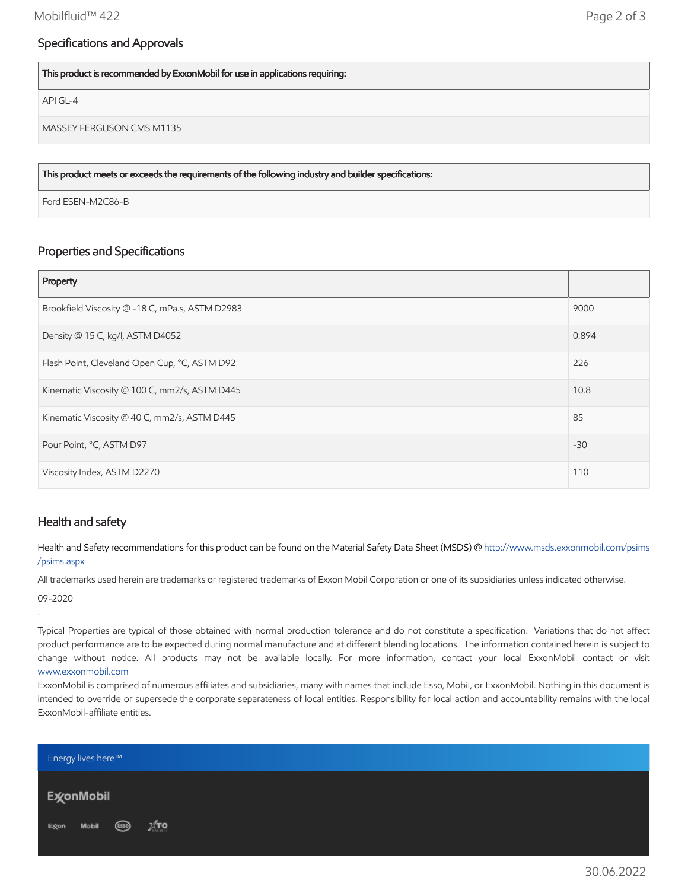### Specifications and Approvals

This product is recommended by ExxonMobil for use in applications requiring:

API GL-4

MASSEY FERGUSON CMS M1135

This product meets or exceeds the requirements of the following industry and builder specifications:

Ford ESEN-M2C86-B

# Properties and Specifications

| Property                                        |       |
|-------------------------------------------------|-------|
| Brookfield Viscosity @ -18 C, mPa.s, ASTM D2983 | 9000  |
| Density @ 15 C, kg/l, ASTM D4052                | 0.894 |
| Flash Point, Cleveland Open Cup, °C, ASTM D92   | 226   |
| Kinematic Viscosity @ 100 C, mm2/s, ASTM D445   | 10.8  |
| Kinematic Viscosity @ 40 C, mm2/s, ASTM D445    | 85    |
| Pour Point, °C, ASTM D97                        | $-30$ |
| Viscosity Index, ASTM D2270                     | 110   |

#### Health and safety

Health and Safety recommendations for this product can be found on the Material Safety Data Sheet (MSDS) @ [http://www.msds.exxonmobil.com/psims](http://www.msds.exxonmobil.com/psims/psims.aspx) /psims.aspx

All trademarks used herein are trademarks or registered trademarks of Exxon Mobil Corporation or one of its subsidiaries unless indicated otherwise. 09-2020

.

Typical Properties are typical of those obtained with normal production tolerance and do not constitute a specification. Variations that do not affect product performance are to be expected during normal manufacture and at different blending locations. The information contained herein is subject to change without notice. All products may not be available locally. For more information, contact your local ExxonMobil contact or visit [www.exxonmobil.com](http://www.exxonmobil.com/)

ExxonMobil is comprised of numerous affiliates and subsidiaries, many with names that include Esso, Mobil, or ExxonMobil. Nothing in this document is intended to override or supersede the corporate separateness of local entities. Responsibility for local action and accountability remains with the local ExxonMobil-affiliate entities.